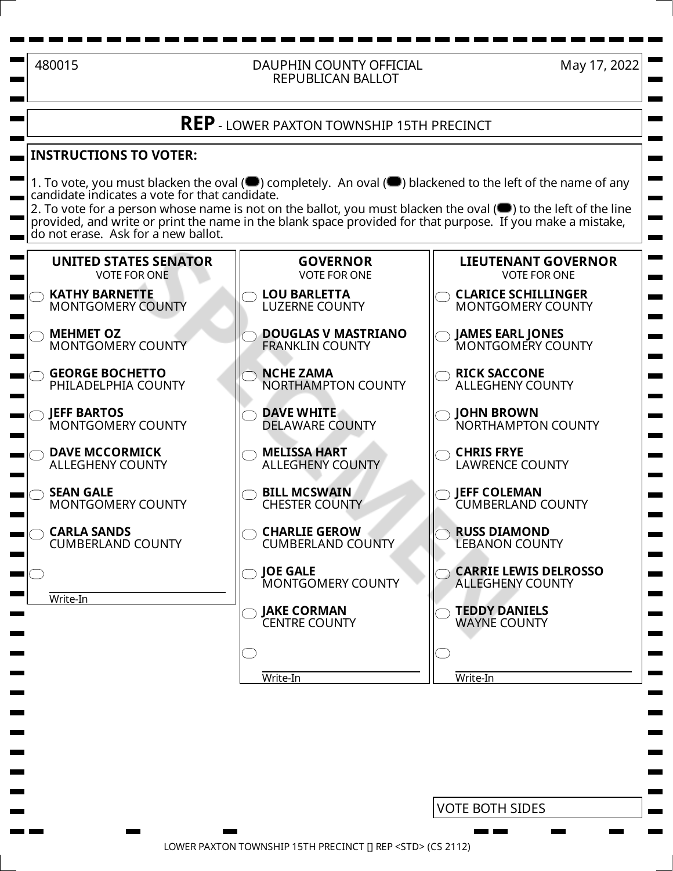## 480015 DAUPHIN COUNTY OFFICIAL REPUBLICAN BALLOT

May 17, 2022

## **REP**- LOWER PAXTON TOWNSHIP 15TH PRECINCT

## **INSTRUCTIONS TO VOTER:**

1. To vote, you must blacken the oval ( $\blacksquare$ ) completely. An oval ( $\blacksquare$ ) blackened to the left of the name of any candidate indicates a vote for that candidate.

2. To vote for a person whose name is not on the ballot, you must blacken the oval  $($ **)** to the left of the line provided, and write or print the name in the blank space provided for that purpose. If you make a mistake, do not erase. Ask for a new ballot.